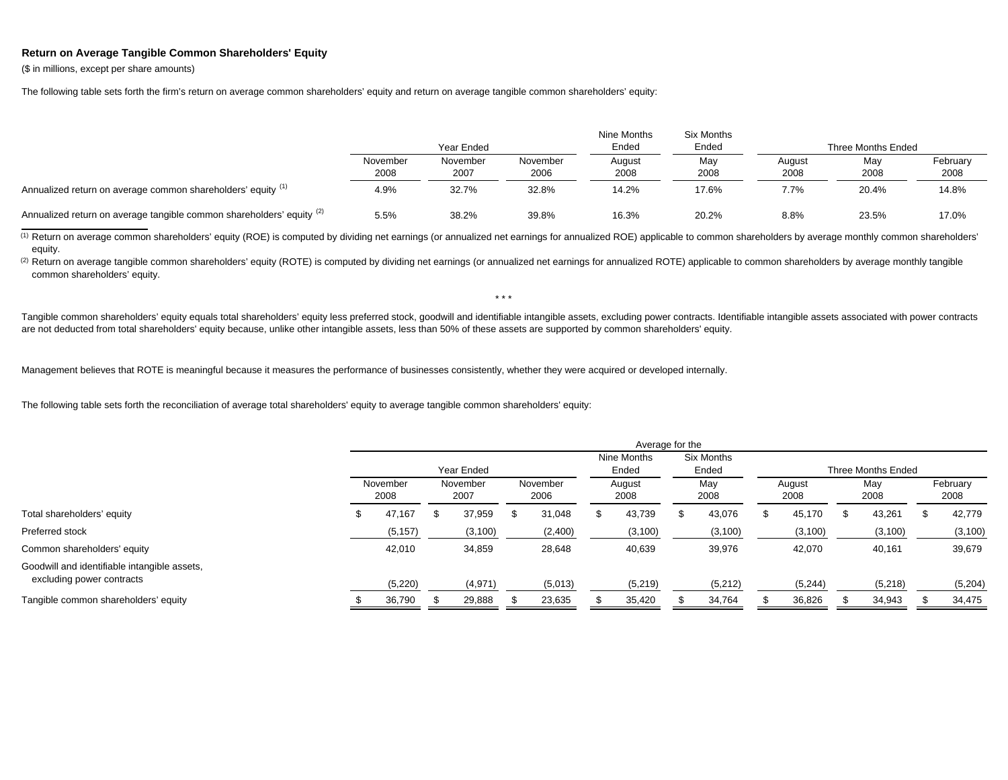## **Return on Average Tangible Common Shareholders' Equity**

(\$ in millions, except per share amounts)

The following table sets forth the firm's return on average common shareholders' equity and return on average tangible common shareholders' equity:

|                                                                       |                  | Year Ended       |                  | Nine Months<br>Ended | Six Months<br>Ended | Three Months Ended |             |                  |  |  |
|-----------------------------------------------------------------------|------------------|------------------|------------------|----------------------|---------------------|--------------------|-------------|------------------|--|--|
|                                                                       | November<br>2008 | November<br>2007 | November<br>2006 | August<br>2008       | May<br>2008         | August<br>2008     | May<br>2008 | February<br>2008 |  |  |
| Annualized return on average common shareholders' equity (1)          | 4.9%             | 32.7%            | 32.8%            | 14.2%                | 17.6%               | 7.7%               | 20.4%       | 14.8%            |  |  |
| Annualized return on average tangible common shareholders' equity (2) | 5.5%             | 38.2%            | 39.8%            | 16.3%                | 20.2%               | 8.8%               | 23.5%       | 17.0%            |  |  |

<sup>(1)</sup> Return on average common shareholders' equity (ROE) is computed by dividing net earnings (or annualized net earnings for annualized ROE) applicable to common shareholders by average monthly common shareholders' equity.

<sup>(2)</sup> Return on average tangible common shareholders' equity (ROTE) is computed by dividing net earnings (or annualized net earnings for annualized ROTE) applicable to common shareholders by average monthly tangible common shareholders' equity.

Tangible common shareholders' equity equals total shareholders' equity less preferred stock, goodwill and identifiable intangible assets, excluding power contracts. Identifiable intangible assets associated with power cont are not deducted from total shareholders' equity because, unlike other intangible assets, less than 50% of these assets are supported by common shareholders' equity.

\* \* \*

Management believes that ROTE is meaningful because it measures the performance of businesses consistently, whether they were acquired or developed internally.

The following table sets forth the reconciliation of average total shareholders' equity to average tangible common shareholders' equity:

|                                                                           |   | Average for the  |    |                  |  |                  |                      |                     |  |                    |    |                |  |             |  |                  |
|---------------------------------------------------------------------------|---|------------------|----|------------------|--|------------------|----------------------|---------------------|--|--------------------|----|----------------|--|-------------|--|------------------|
|                                                                           |   | Year Ended       |    |                  |  |                  | Nine Months<br>Ended | Six Months<br>Ended |  | Three Months Ended |    |                |  |             |  |                  |
|                                                                           |   | November<br>2008 |    | November<br>2007 |  | November<br>2006 |                      | August<br>2008      |  | May<br>2008        |    | August<br>2008 |  | May<br>2008 |  | February<br>2008 |
| Total shareholders' equity                                                | Œ | 47,167           | ъ. | 37,959           |  | 31,048           |                      | 43,739              |  | 43,076             | ж, | 45,170         |  | 43,261      |  | 42,779           |
| Preferred stock                                                           |   | (5, 157)         |    | (3, 100)         |  | (2,400)          |                      | (3, 100)            |  | (3, 100)           |    | (3, 100)       |  | (3, 100)    |  | (3, 100)         |
| Common shareholders' equity                                               |   | 42,010           |    | 34,859           |  | 28,648           |                      | 40,639              |  | 39,976             |    | 42,070         |  | 40,161      |  | 39,679           |
| Goodwill and identifiable intangible assets,<br>excluding power contracts |   | (5,220)          |    | (4, 971)         |  | (5,013)          |                      | (5,219)             |  | (5,212)            |    | (5,244)        |  | (5,218)     |  | (5,204)          |
| Tangible common shareholders' equity                                      |   | 36,790           |    | 29,888           |  | 23,635           |                      | 35,420              |  | 34,764             |    | 36,826         |  | 34,943      |  | 34,475           |
|                                                                           |   |                  |    |                  |  |                  |                      |                     |  |                    |    |                |  |             |  |                  |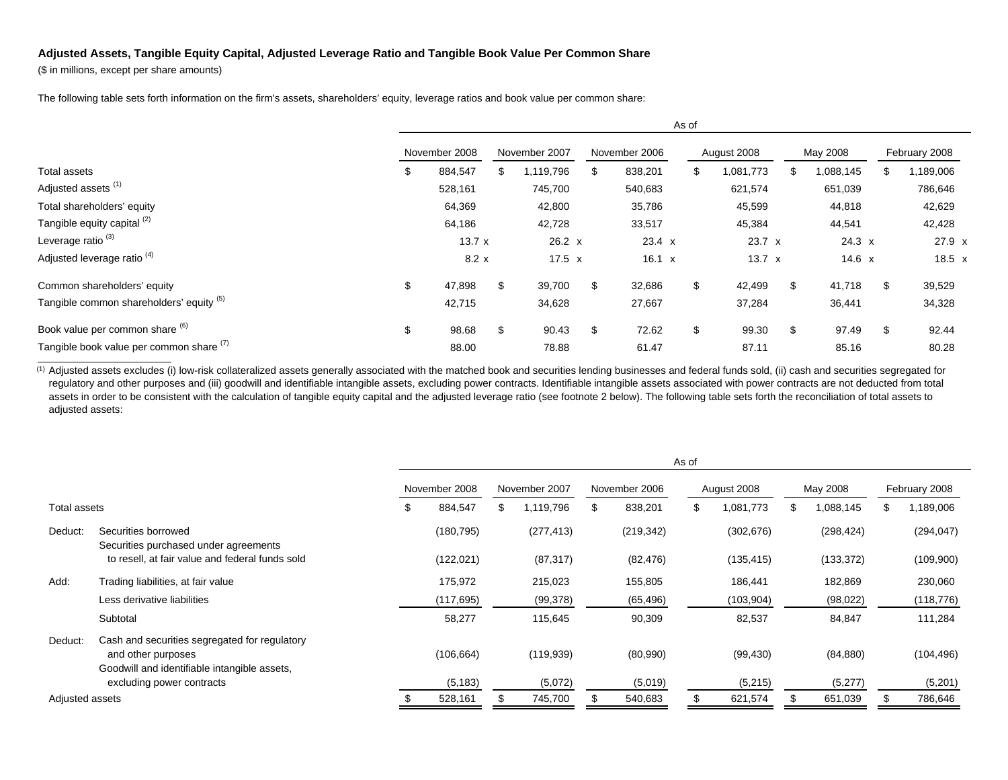## **Adjusted Assets, Tangible Equity Capital, Adjusted Leverage Ratio and Tangible Book Value Per Common Share**

(\$ in millions, except per share amounts)

The following table sets forth information on the firm's assets, shareholders' equity, leverage ratios and book value per common share:

|                                          | As of         |    |               |  |               |               |             |               |          |    |               |               |               |
|------------------------------------------|---------------|----|---------------|--|---------------|---------------|-------------|---------------|----------|----|---------------|---------------|---------------|
|                                          | November 2008 |    | November 2007 |  | November 2006 |               | August 2008 |               | May 2008 |    |               | February 2008 |               |
| Total assets                             | \$<br>884,547 | S  | ,119,796      |  | \$            | 838,201       | S.          | 1,081,773     |          | £. | 1,088,145     | £.            | 1,189,006     |
| Adjusted assets <sup>(1)</sup>           | 528,161       |    | 745,700       |  |               | 540,683       |             | 621,574       |          |    | 651,039       |               | 786,646       |
| Total shareholders' equity               | 64,369        |    | 42,800        |  |               | 35,786        |             | 45,599        |          |    | 44,818        |               | 42,629        |
| Tangible equity capital <sup>(2)</sup>   | 64,186        |    | 42,728        |  |               | 33,517        |             | 45,384        |          |    | 44,541        |               | 42,428        |
| Leverage ratio <sup>(3)</sup>            | 13.7x         |    | $26.2 \times$ |  |               | 23.4 x        |             | $23.7 \times$ |          |    | $24.3 \times$ |               | $27.9 \times$ |
| Adjusted leverage ratio <sup>(4)</sup>   | 8.2 x         |    | 17.5 $x$      |  |               | $16.1 \times$ |             | $13.7 \times$ |          |    | 14.6 $x$      |               | $18.5 \times$ |
| Common shareholders' equity              | \$<br>47,898  | \$ | 39,700        |  | \$            | 32,686        | \$          | 42,499        |          | \$ | 41,718        | \$            | 39,529        |
| Tangible common shareholders' equity (5) | 42,715        |    | 34,628        |  |               | 27,667        |             | 37,284        |          |    | 36,441        |               | 34,328        |
| Book value per common share (6)          | \$<br>98.68   | \$ | 90.43         |  | \$            | 72.62         | \$          | 99.30         |          | \$ | 97.49         | \$            | 92.44         |
| Tangible book value per common share (7) | 88.00         |    | 78.88         |  |               | 61.47         |             | 87.11         |          |    | 85.16         |               | 80.28         |

<sup>(1)</sup> Adjusted assets excludes (i) low-risk collateralized assets generally associated with the matched book and securities lending businesses and federal funds sold, (ii) cash and securities segregated for regulatory and other purposes and (iii) goodwill and identifiable intangible assets, excluding power contracts. Identifiable intangible assets associated with power contracts are not deducted from total assets in order to be consistent with the calculation of tangible equity capital and the adjusted leverage ratio (see footnote 2 below). The following table sets forth the reconciliation of total assets to adjusted assets:

|                 |                                                                                                                     | As of         |            |               |            |               |            |             |            |          |            |               |            |
|-----------------|---------------------------------------------------------------------------------------------------------------------|---------------|------------|---------------|------------|---------------|------------|-------------|------------|----------|------------|---------------|------------|
|                 |                                                                                                                     | November 2008 |            | November 2007 |            | November 2006 |            | August 2008 |            | May 2008 |            | February 2008 |            |
| Total assets    |                                                                                                                     | S             | 884,547    | \$.           | 1,119,796  | £.            | 838,201    | S.          | 1,081,773  |          | 1,088,145  |               | 1,189,006  |
| Deduct:         | Securities borrowed<br>Securities purchased under agreements                                                        |               | (180, 795) |               | (277, 413) |               | (219, 342) |             | (302, 676) |          | (298, 424) |               | (294, 047) |
|                 | to resell, at fair value and federal funds sold                                                                     |               | (122, 021) |               | (87, 317)  |               | (82, 476)  |             | (135, 415) |          | (133, 372) |               | (109,900)  |
| Add:            | Trading liabilities, at fair value                                                                                  |               | 175,972    |               | 215,023    |               | 155,805    |             | 186,441    |          | 182,869    |               | 230,060    |
|                 | Less derivative liabilities                                                                                         |               | (117, 695) |               | (99, 378)  |               | (65, 496)  |             | (103, 904) |          | (98, 022)  |               | (118, 776) |
|                 | Subtotal                                                                                                            |               | 58,277     |               | 115,645    |               | 90,309     |             | 82,537     |          | 84,847     |               | 111,284    |
| Deduct:         | Cash and securities segregated for regulatory<br>and other purposes<br>Goodwill and identifiable intangible assets, |               | (106, 664) |               | (119.939)  |               | (80,990)   |             | (99, 430)  |          | (84, 880)  |               | (104, 496) |
|                 | excluding power contracts                                                                                           |               | (5, 183)   |               | (5,072)    |               | (5,019)    |             | (5,215)    |          | (5,277)    |               | (5,201)    |
| Adjusted assets |                                                                                                                     |               | 528,161    |               | 745,700    |               | 540,683    |             | 621,574    |          | 651,039    |               | 786,646    |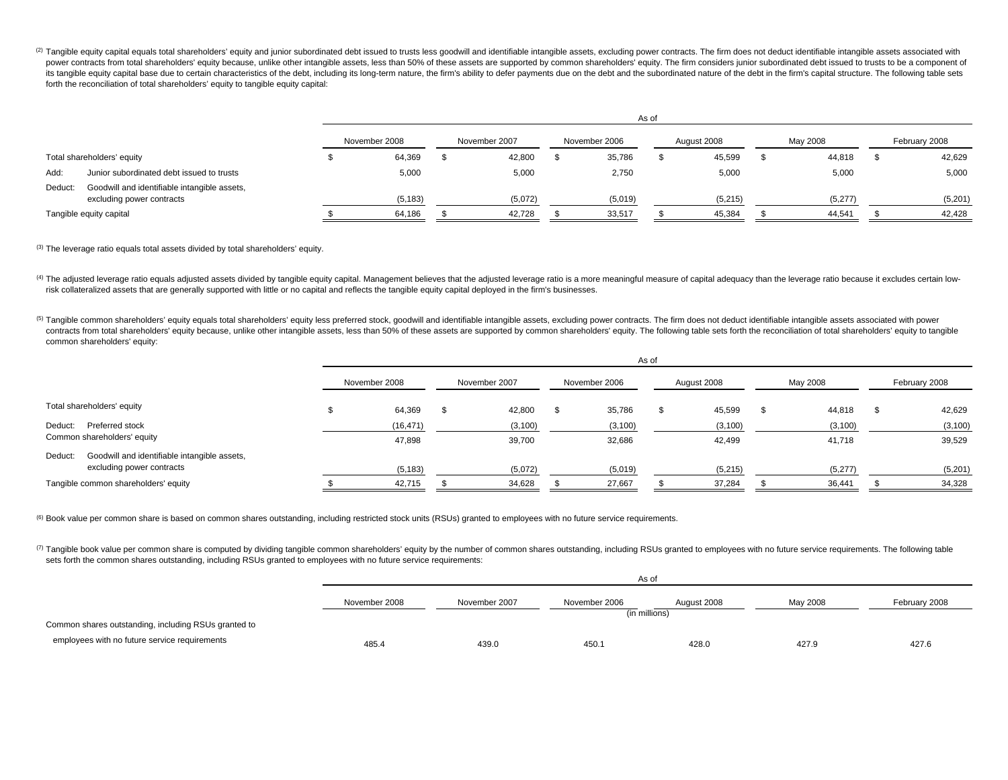(2) Tangible equity capital equals total shareholders' equity and junior subordinated debt issued to trusts less goodwill and identifiable intangible assets, excluding power contracts. The firm does not deduct identifiable power contracts from total shareholders' equity because, unlike other intangible assets, less than 50% of these assets are supported by common shareholders' equity. The firm considers junior subordinated debt issued to tru its tangible equity capital base due to certain characteristics of the debt, including its long-term nature, the firm's ability to defer payments due on the debt and the subordinated nature of the debt in the firm's capita forth the reconciliation of total shareholders' equity to tangible equity capital:

|                                                                                      | As of         |          |  |               |  |               |  |             |          |         |               |         |
|--------------------------------------------------------------------------------------|---------------|----------|--|---------------|--|---------------|--|-------------|----------|---------|---------------|---------|
|                                                                                      | November 2008 |          |  | November 2007 |  | November 2006 |  | August 2008 | May 2008 |         | February 2008 |         |
| Total shareholders' equity                                                           |               | 64,369   |  | 42,800        |  | 35,786        |  | 45,599      |          | 44,818  |               | 42,629  |
| Junior subordinated debt issued to trusts<br>Add:                                    |               | 5,000    |  | 5,000         |  | 2,750         |  | 5,000       |          | 5,000   |               | 5,000   |
| Goodwill and identifiable intangible assets,<br>Deduct:<br>excluding power contracts |               | (5, 183) |  | (5,072)       |  | (5,019)       |  | (5, 215)    |          | (5,277) |               | (5,201) |
| Tangible equity capital                                                              |               | 64,186   |  | 42,728        |  | 33,517        |  | 45,384      |          | 44,541  |               | 42,428  |

 $(3)$  The leverage ratio equals total assets divided by total shareholders' equity.

(4) The adjusted leverage ratio equals adjusted assets divided by tangible equity capital. Management believes that the adjusted leverage ratio is a more meaningful measure of capital adequacy than the leverage ratio becau risk collateralized assets that are generally supported with little or no capital and reflects the tangible equity capital deployed in the firm's businesses.

(5) Tangible common shareholders' equity equals total shareholders' equity less preferred stock, goodwill and identifiable intangible assets, excluding power contracts. The firm does not deduct identifiable intangible asse contracts from total shareholders' equity because, unlike other intangible assets, less than 50% of these assets are supported by common shareholders' equity. The following table sets forth the reconciliation of total shar common shareholders' equity:

|                                                                                      | As of         |  |               |  |               |     |             |  |          |  |               |
|--------------------------------------------------------------------------------------|---------------|--|---------------|--|---------------|-----|-------------|--|----------|--|---------------|
|                                                                                      | November 2008 |  | November 2007 |  | November 2006 |     | August 2008 |  | May 2008 |  | February 2008 |
| Total shareholders' equity                                                           | 64,369        |  | 42,800        |  | 35,786        | \$. | 45,599      |  | 44,818   |  | 42,629        |
| Preferred stock<br>Deduct:                                                           | (16, 471)     |  | (3, 100)      |  | (3, 100)      |     | (3, 100)    |  | (3, 100) |  | (3, 100)      |
| Common shareholders' equity                                                          | 47,898        |  | 39,700        |  | 32,686        |     | 42,499      |  | 41,718   |  | 39,529        |
| Goodwill and identifiable intangible assets,<br>Deduct:<br>excluding power contracts | (5, 183)      |  | (5,072)       |  | (5,019)       |     | (5,215)     |  | (5,277)  |  | (5,201)       |
| Tangible common shareholders' equity                                                 | 42,715        |  | 34,628        |  | 27,667        |     | 37,284      |  | 36,441   |  | 34,328        |

<sup>(6)</sup> Book value per common share is based on common shares outstanding, including restricted stock units (RSUs) granted to employees with no future service requirements.

(7) Tangible book value per common share is computed by dividing tangible common shareholders' equity by the number of common shares outstanding, including RSUs granted to employees with no future service requirements. The sets forth the common shares outstanding, including RSUs granted to employees with no future service requirements:

|                                                      |               | As of                                                     |       |       |       |       |  |  |  |  |  |  |  |
|------------------------------------------------------|---------------|-----------------------------------------------------------|-------|-------|-------|-------|--|--|--|--|--|--|--|
|                                                      | November 2008 | May 2008<br>November 2007<br>November 2006<br>August 2008 |       |       |       |       |  |  |  |  |  |  |  |
|                                                      |               | (in millions)                                             |       |       |       |       |  |  |  |  |  |  |  |
| Common shares outstanding, including RSUs granted to |               |                                                           |       |       |       |       |  |  |  |  |  |  |  |
| employees with no future service requirements        | 485.4         | 439.0                                                     | 450.1 | 428.0 | 427.9 | 427.6 |  |  |  |  |  |  |  |